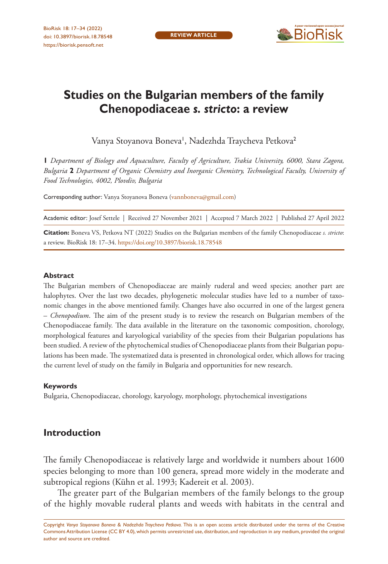

# **Studies on the Bulgarian members of the family Chenopodiaceae** *s. stricto***: a review**

Vanya Stoyanova Boneva', Nadezhda Traycheva Petkova<sup>2</sup>

**1** *Department of Biology and Aquaculture, Faculty of Agriculture, Trakia University, 6000, Stara Zagora, Bulgaria* **2** *Department of Organic Chemistry and Inorganic Chemistry, Technological Faculty, University of Food Technologies, 4002, Plovdiv, Bulgaria*

Corresponding author: Vanya Stoyanova Boneva ([vannboneva@gmail.com](mailto:vannboneva@gmail.com))

Academic editor: Josef Settele | Received 27 November 2021 | Accepted 7 March 2022 | Published 27 April 2022

**Citation:** Boneva VS, Petkova NT (2022) Studies on the Bulgarian members of the family Chenopodiaceae *s. stricto*: a review. BioRisk 18: 17–34.<https://doi.org/10.3897/biorisk.18.78548>

#### **Abstract**

The Bulgarian members of Chenopodiaceae are mainly ruderal and weed species; another part are halophytes. Over the last two decades, phylogenetic molecular studies have led to a number of taxonomic changes in the above mentioned family. Changes have also occurred in one of the largest genera – *Chenopodium*. The aim of the present study is to review the research on Bulgarian members of the Chenopodiaceae family. The data available in the literature on the taxonomic composition, chorology, morphological features and karyological variability of the species from their Bulgarian populations has been studied. A review of the phytochemical studies of Chenopodiaceae plants from their Bulgarian populations has been made. The systematized data is presented in chronological order, which allows for tracing the current level of study on the family in Bulgaria and opportunities for new research.

#### **Keywords**

Bulgaria, Chenopodiaceae, chorology, karyology, morphology, phytochemical investigations

# **Introduction**

The family Chenopodiaceae is relatively large and worldwide it numbers about 1600 species belonging to more than 100 genera, spread more widely in the moderate and subtropical regions (Kühn et al. 1993; Kadereit et al. 2003).

The greater part of the Bulgarian members of the family belongs to the group of the highly movable ruderal plants and weeds with habitats in the central and

Copyright Vanya Stoyanova Boneva & Nadezhda Traycheva Petkova. This is an open access article distributed under the terms of the Creative [Commons Attribution License \(CC BY 4.0\)](http://creativecommons.org/licenses/by/4.0/), which permits unrestricted use, distribution, and reproduction in any medium, provided the original author and source are credited.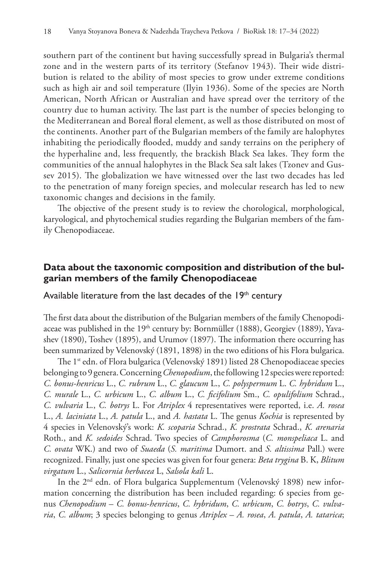southern part of the continent but having successfully spread in Bulgaria's thermal zone and in the western parts of its territory (Stefanov 1943). Their wide distribution is related to the ability of most species to grow under extreme conditions such as high air and soil temperature (Ilyin 1936). Some of the species are North American, North African or Australian and have spread over the territory of the country due to human activity. The last part is the number of species belonging to the Mediterranean and Boreal floral element, as well as those distributed on most of the continents. Another part of the Bulgarian members of the family are halophytes inhabiting the periodically flooded, muddy and sandy terrains on the periphery of the hyperhaline and, less frequently, the brackish Black Sea lakes. They form the communities of the annual halophytes in the Black Sea salt lakes (Tzonev and Gussev 2015). The globalization we have witnessed over the last two decades has led to the penetration of many foreign species, and molecular research has led to new taxonomic changes and decisions in the family.

The objective of the present study is to review the chorological, morphological, karyological, and phytochemical studies regarding the Bulgarian members of the family Chenopodiaceae.

# **Data about the taxonomic composition and distribution of the bulgarian members of the family Chenopodiaceae**

## Available literature from the last decades of the  $19<sup>th</sup>$  century

The first data about the distribution of the Bulgarian members of the family Chenopodiaceae was published in the 19<sup>th</sup> century by: Bornmüller (1888), Georgiev (1889), Yavashev (1890), Toshev (1895), and Urumov (1897). The information there occurring has been summarized by Velenovský (1891, 1898) in the two editions of his Flora bulgarica.

The 1<sup>st</sup> edn. of Flora bulgarica (Velenovský 1891) listed 28 Chenopodiaceae species belonging to 9 genera. Concerning *Chenopodium*, the following 12 species were reported: *C. bonus-henricus* L., *C. rubrum* L., *C. glaucum* L., *C. polyspermum* L. *C. hybridum* L., *C. murale* L., *C. urbicum* L., *C. album* L., *C. ficifolium* Sm., *C. opulifolium* Schrad., *C. vulvaria* L., *C. botrys* L. For *Atriplex* 4 representatives were reported, i.e. *A. rosea* L., *A. laciniata* L., *A. patula* L., and *A. hastata* L. The genus *Kochia* is represented by 4 species in Velenovský's work: *K. scoparia* Schrad., *K. prostrata* Schrad., *K. arenaria* Roth., and *K. sedoides* Schrad. Two species of *Camphorosma* (*C. monspeliaca* L. and *C. ovata* WK.) and two of *Suaeda* (*S. maritima* Dumort. and *S. altissima* Pall.) were recognized. Finally, just one species was given for four genera: *Beta trygina* B. K, *Blitum virgatum* L., *Salicornia herbacea* L, *Salsola kali* L.

In the 2nd edn. of Flora bulgarica Supplеmentum (Velenovský 1898) new information concerning the distribution has been included regarding: 6 species from genus *Chenopodium* – *C. bonus*-*henricus*, *C. hybridum*, *C. urbicum*, *C. botrys*, *C. vulvaria*, *C. album*; 3 species belonging to genus *Atriplex* – *A. rosea*, *A. patula*, *A. tatarica*;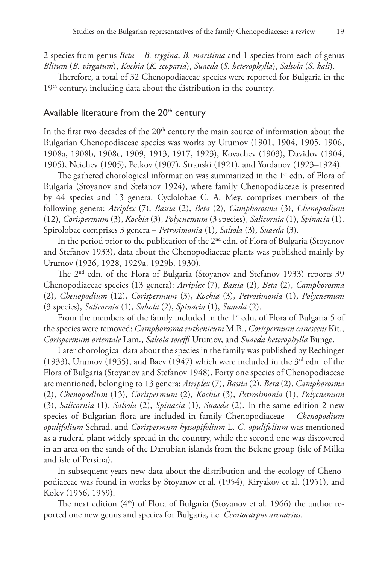2 species from genus *Beta* – *B. trygina*, *B. maritima* and 1 species from each of genus *Blitum* (*B. virgatum*), *Kochia* (*K. scoparia*), *Suaeda* (*S. heterophylla*), *Salsola* (*S. kali*).

Therefore, a total of 32 Chenopodiaceae species were reported for Bulgaria in the 19<sup>th</sup> century, including data about the distribution in the country.

# Available literature from the  $20<sup>th</sup>$  century

In the first two decades of the  $20<sup>th</sup>$  century the main source of information about the Bulgarian Chenopodiaceae species was works by Urumov (1901, 1904, 1905, 1906, 1908a, 1908b, 1908c, 1909, 1913, 1917, 1923), Kovachev (1903), Davidov (1904, 1905), Neichev (1905), Petkov (1907), Stranski (1921), and Yordanov (1923–1924).

The gathered chorological information was summarized in the  $1<sup>st</sup>$  edn. of Flora of Bulgaria (Stoyanov and Stefanov 1924), where family Chenopodiaceae is presented by 44 species and 13 genera. Cyclolobae C. A. Mey. comprises members of the following genera: *Atriplex* (7), *Bassia* (2), *Beta* (2), *Camphorosma* (3), *Chenopodium* (12), *Corispermum* (3), *Kochia* (3), *Polycnemum* (3 species), *Salicornia* (1), *Spinacia* (1). Spirolobae comprises 3 genera – *Petrosimonia* (1), *Salsola* (3), *Suaeda* (3).

In the period prior to the publication of the 2<sup>nd</sup> edn. of Flora of Bulgaria (Stoyanov and Stefanov 1933), data about the Chenopodiaceae plants was published mainly by Urumov (1926, 1928, 1929a, 1929b, 1930).

The 2nd edn. of the Flora of Bulgaria (Stoyanov and Stefanov 1933) reports 39 Chenopodiaceae species (13 genera): *Atriplex* (7), *Bassia* (2), *Beta* (2), *Camphorosma* (2), *Chenopodium* (12), *Corispermum* (3), *Kochia* (3), *Petrosimonia* (1), *Polycnemum* (3 species), *Salicornia* (1), *Salsola* (2), *Spinacia* (1), *Suaeda* (2).

From the members of the family included in the  $1<sup>st</sup>$  edn. of Flora of Bulgaria 5 of the species were removed: *Camphorosma ruthenicum* M.B., *Corispermum canescens* Kit., *Corispermum orientale* Lam., *Salsola toseffi* Urumov, and *Suaeda heterophylla* Bunge.

Later chorological data about the species in the family was published by Rechinger (1933), Urumov (1935), and Baev (1947) which were included in the  $3<sup>rd</sup>$  edn. of the Flora of Bulgaria (Stoyanov and Stefanov 1948). Forty one species of Chenopodiaceae are mentioned, belonging to 13 genera: *Atriplex* (7), *Bassia* (2), *Beta* (2), *Camphorosma* (2), *Chenopodium* (13), *Corispermum* (2), *Kochia* (3), *Petrosimonia* (1), *Polycnemum* (3), *Salicornia* (1), *Salsola* (2), *Spinacia* (1), *Suaeda* (2). In the same edition 2 new species of Bulgarian flora are included in family Chenopodiaceae – *Chenopodium opulifolium* Schrad. and *Corispermum hyssopifolium* L. *C. opulifolium* was mentioned as a ruderal plant widely spread in the country, while the second one was discovered in an area on the sands of the Danubian islands from the Belene group (isle of Milka and isle of Persina).

In subsequent years new data about the distribution and the ecology of Chenopodiaceae was found in works by Stoyanov et al. (1954), Kiryakov et al. (1951), and Kolev (1956, 1959).

The next edition  $(4<sup>th</sup>)$  of Flora of Bulgaria (Stoyanov et al. 1966) the author reported one new genus and species for Bulgaria, i.e. *Ceratocarpus arenarius*.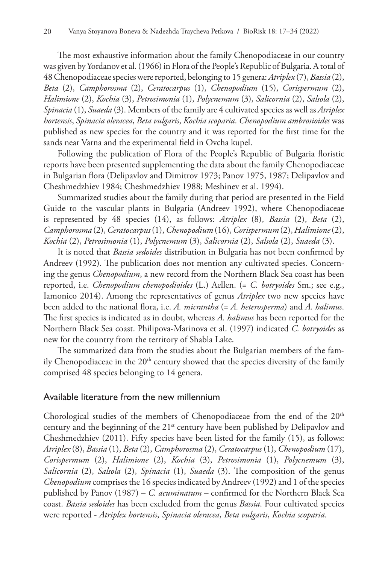The most exhaustive information about the family Chenopodiaceae in our country was given by Yordanov et al. (1966) in Flora of the People's Republic of Bulgaria. A total of 48 Chenopodiaceae species were reported, belonging to 15 genera: *Atriplex* (7), *Bassia* (2), *Beta* (2), *Camphorosma* (2), *Ceratocarpus* (1), *Chenopodium* (15), *Corispermum* (2), *Halimione* (2), *Kochia* (3), *Petrosimonia* (1), *Polycnemum* (3), *Salicornia* (2), *Salsola* (2), *Spinacia* (1), *Suaeda* (3). Members of the family are 4 cultivated species as well as *Atriplex hortensis*, *Spinacia oleracea*, *Beta vulgaris*, *Kochia scoparia*. *Chenopodium ambrosioides* was published as new species for the country and it was reported for the first time for the sands near Varna and the experimental field in Ovcha kupel.

Following the publication of Flora of the People's Republic of Bulgaria floristic reports have been presented supplementing the data about the family Chenopodiaceae in Bulgarian flora (Delipavlov and Dimitrov 1973; Panov 1975, 1987; Delipavlov and Cheshmedzhiev 1984; Cheshmedzhiev 1988; Meshinev et al. 1994).

Summarized studies about the family during that period are presented in the Field Guide to the vascular plants in Bulgaria (Andreev 1992), where Chenopodiaceae is represented by 48 species (14), as follows: *Atriplex* (8), *Bassia* (2), *Beta* (2), *Camphorosma* (2), *Ceratocarpus* (1), *Chenopodium* (16), *Corispermum* (2), *Halimione* (2), *Kochia* (2), *Petrosimonia* (1), *Polycnemum* (3), *Salicornia* (2), *Salsola* (2), *Suaeda* (3).

It is noted that *Bassia sedoides* distribution in Bulgaria has not been confirmed by Andreev (1992). The publication does not mention any cultivated species. Concerning the genus *Chenopodium*, a new record from the Northern Black Sea coast has been reported, i.e. *Chenopodium chenopodioides* (L.) Aellen. (= *C. botryoides* Sm.; see e.g., Iamonico 2014). Among the representatives of genus *Atriplex* two new species have been added to the national flora, i.e. *A. micrantha* (= *A. heterosperma*) and *A. halimus*. The first species is indicated as in doubt, whereas *A. halimus* has been reported for the Northern Black Sea coast. Philipova-Marinova et al. (1997) indicated *C. botryoides* as new for the country from the territory of Shabla Lake.

The summarized data from the studies about the Bulgarian members of the family Chenopodiaceae in the 20<sup>th</sup> century showed that the species diversity of the family comprised 48 species belonging to 14 genera.

## Available literature from the new millennium

Chorological studies of the members of Chenopodiaceae from the end of the  $20<sup>th</sup>$ century and the beginning of the 21<sup>st</sup> century have been published by Delipavlov and Cheshmedzhiev (2011). Fifty species have been listed for the family (15), as follows: *Atriplex* (8), *Bassia* (1), *Beta* (2), *Camphorosma* (2), *Ceratocarpus* (1), *Chenopodium* (17), *Corispermum* (2), *Halimione* (2), *Kochia* (3), *Petrosimonia* (1), *Polycnemum* (3), *Salicornia* (2), *Salsola* (2), *Spinacia* (1), *Suaeda* (3). The composition of the genus *Chenopodium* comprises the 16 species indicated by Andreev (1992) and 1 of the species published by Panov (1987) – *C. acuminatum* – confirmed for the Northern Black Sea coast. *Bassia sedoides* has been excluded from the genus *Bassia*. Four cultivated species were reported - *Atriplex hortensis*, *Spinacia oleracea*, *Beta vulgaris*, *Kochia scoparia*.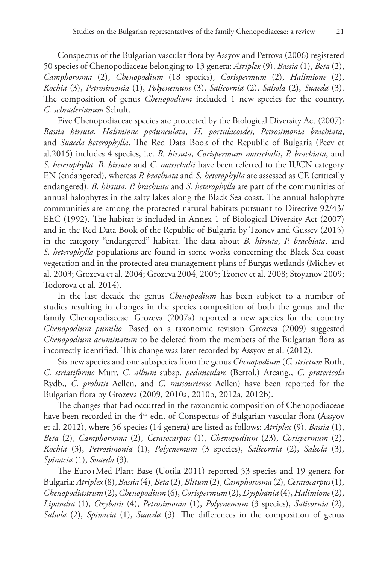Conspectus of the Bulgarian vascular flora by Assyov and Petrova (2006) registered 50 species of Chenopodiaceae belonging to 13 genera: *Atriplex* (9), *Bassia* (1), *Beta* (2), *Camphorosma* (2), *Chenopodium* (18 species), *Corispermum* (2), *Halimione* (2), *Kochia* (3), *Petrosimonia* (1), *Polycnemum* (3), *Salicornia* (2), *Salsola* (2), *Suaeda* (3). The composition of genus *Chenopodium* included 1 new species for the country, *C. schraderianum* Schult.

Five Chenopodiaceae species are protected by the Biological Diversity Act (2007): *Bassia hirsuta*, *Halimione pedunculata*, *H. portulacoides*, *Petrosimonia brachiata*, and *Suaeda heterophylla*. The Red Data Book of the Republic of Bulgaria (Peev et al.2015) includes 4 species, i.e. *B. hirsuta*, *Corispermum marschalii*, *P. brachiata*, and *S. heterophylla*. *B. hirsutа* and *C. marschalii* have been referred to the IUCN category EN (endangered), whereas *P. brachiata* and *S. heterophylla* are assessed as CE (critically endangered). *B. hirsuta*, *P. brachiatа* and *S. heterophylla* are part of the communities of annual halophytes in the salty lakes along the Black Sea coast. The annual halophyte communities are among the protected natural habitats pursuant to Directive 92/43/ EEC (1992). The habitat is included in Annex 1 of Biological Diversity Act (2007) and in the Red Data Book of the Republic of Bulgaria by Tzonev and Gussev (2015) in the category "endangered" habitat. The data about *B. hirsutа*, *P. brachiata*, and *S. heterophylla* populations are found in some works concerning the Black Sea coast vegetation and in the protected area management plans of Burgas wetlands (Michev et al. 2003; Grozeva et al. 2004; Grozeva 2004, 2005; Tzonev et al. 2008; Stoyanov 2009; Todorova et al. 2014).

In the last decade the genus *Chenopodium* has been subject to a number of studies resulting in changes in the species composition of both the genus and the family Chenopodiaceae. Grozeva (2007a) reported a new species for the country *Chenopodium pumilio*. Based on a taxonomic revision Grozeva (2009) suggested *Chenopodium acuminatum* to be deleted from the members of the Bulgarian flora as incorrectly identified. This change was later recorded by Assyov et al. (2012).

Six new species and one subspecies from the genus *Chenopodium* (*C. strictum* Roth, *C. striatiforme* Murr, *C. album* subsp. *pedunculare* (Bertol.) Arcang., *C. pratericola* Rydb., *C. probstii* Aellen, and *C. missouriense* Aellen) have been reported for the Bulgarian flora by Grozeva (2009, 2010a, 2010b, 2012a, 2012b).

The changes that had occurred in the taxonomic composition of Chenopodiaceae have been recorded in the 4<sup>th</sup> edn. of Conspectus of Bulgarian vascular flora (Assyov et al. 2012), where 56 species (14 genera) are listed as follows: *Atriplex* (9), *Bassia* (1), *Beta* (2), *Camphorosma* (2), *Ceratocarpus* (1), *Chenopodium* (23), *Corispermum* (2), *Kochia* (3), *Petrosimonia* (1), *Polycnemum* (3 species), *Salicornia* (2), *Salsola* (3), *Spinacia* (1), *Suaeda* (3).

The Euro+Med Plant Base (Uotila 2011) reported 53 species and 19 genera for Bulgaria: *Atriplex* (8), *Bassia* (4), *Beta* (2), *Blitum* (2), *Camphorosma* (2), *Ceratocarpus* (1), *Chenopodiastrum* (2), *Chenopodium* (6), *Corispermum* (2), *Dysphania* (4), *Halimione* (2), *Lipandra* (1), *Oxybasis* (4), *Petrosimonia* (1), *Polycnemum* (3 species), *Salicornia* (2), *Salsola* (2), *Spinacia* (1), *Suaeda* (3). The differences in the composition of genus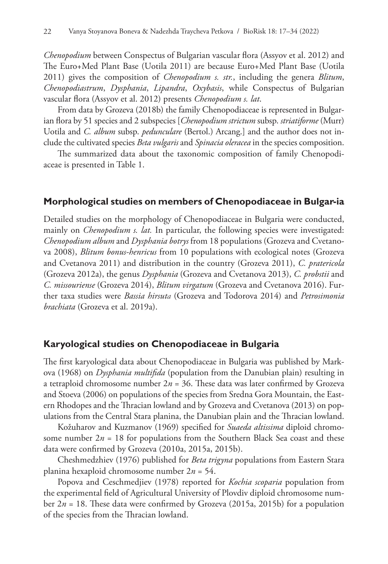*Chenopodium* between Conspectus of Bulgarian vascular flora (Assyov et al. 2012) and The Euro+Med Plant Base (Uotila 2011) are because Euro+Med Plant Base (Uotila 2011) gives the composition of *Chenopodium s. str.*, including the genera *Blitum*, *Chenopodiastrum*, *Dysphania*, *Lipandra*, *Oxybasis*, while Conspectus of Bulgarian vascular flora (Assyov et al. 2012) presents *Chenopodium s. lat*.

From data by Grozeva (2018b) the family Chenopodiaceae is represented in Bulgarian flora by 51 species and 2 subspecies [*Chenopodium strictum* subsp. *striatiforme* (Murr) Uotila and *C. album* subsp. *pedunculare* (Bertol.) Arcang.] and the author does not include the cultivated species *Bеta vulgaris* and *Spinacia oleracea* in the species composition.

The summarized data about the taxonomic composition of family Chenopodiaceae is presented in Table 1.

# **Morphological studies on members of Chenopodiaceae in Bulgar-ia**

Detailed studies on the morphology of Chenopodiaceae in Bulgaria were conducted, mainly on *Chenopodium s. lat.* In particular, the following species were investigated: *Chenopodium album* and *Dysphania botrys* from 18 populations (Grozeva and Cvetanova 2008), *Blitum bonus-henricus* from 10 populations with ecological notes (Grozeva and Cvetanova 2011) and distribution in the country (Grozeva 2011), *C. pratericola* (Grozeva 2012a), the genus *Dysphania* (Grozeva and Cvetanova 2013), *C. probstii* and *C. missouriense* (Grozeva 2014), *Blitum virgatum* (Grozeva and Cvetanova 2016). Further taxa studies were *Bassia hirsutа* (Grozeva and Todorova 2014) and *Petrosimonia brachiata* (Grozeva et al. 2019a).

## **Karyological studies on Chenopodiaceae in Bulgaria**

The first karyological data about Chenopodiaceae in Bulgaria was published by Markova (1968) on *Dysphania multifida* (population from the Danubian plain) resulting in a tetraploid chromosome number  $2n = 36$ . These data was later confirmed by Grozeva and Stoeva (2006) on populations of the species from Sredna Gora Mountain, the Eastern Rhodopes and the Thracian lowland and by Grozeva and Cvetanova (2013) on populations from the Central Stara planina, the Danubian plain and the Thracian lowland.

Kožuharov and Kuzmanov (1969) specified for *Suaeda altissima* diploid chromosome number  $2n = 18$  for populations from the Southern Black Sea coast and these data were confirmed by Grozeva (2010a, 2015a, 2015b).

Cheshmedzhiev (1976) published for *Beta trigyna* populations from Eastern Stara planina hexaploid chromosome number 2*n* = 54.

Popova and Ceschmedjiev (1978) reported for *Kochia scoparia* population from the experimental field of Agricultural University of Plovdiv diploid chromosome number 2*n* = 18. These data were confirmed by Grozeva (2015a, 2015b) for a population of the species from the Thracian lowland.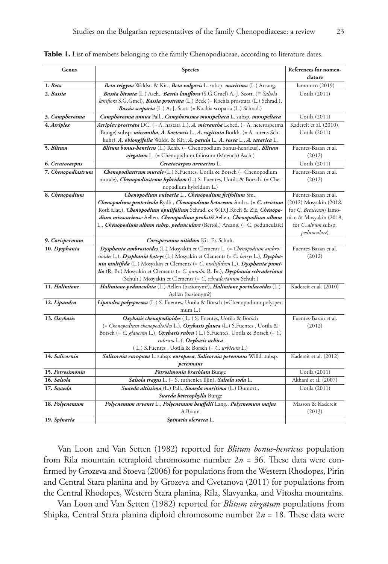| Genus              | Species                                                                                                                                                          | References for nomen-      |
|--------------------|------------------------------------------------------------------------------------------------------------------------------------------------------------------|----------------------------|
|                    |                                                                                                                                                                  | clature                    |
| 1. Beta            | Beta trigyna Waldst. & Kit., Beta vulgaris L. subsp. maritima (L.) Arcang.                                                                                       | Iamonico (2019)            |
| 2. Bassia          | Bassia hirsuta (L.) Asch., Bassia laniflora (S.G.Gmel) A. J. Scott. (= Salsola                                                                                   | <b>Uotila</b> (2011)       |
|                    | laniflora S.G.Gmel), Bassia prostrata (L.) Beck (= Kochia prostrata (L.) Schrad.),                                                                               |                            |
|                    | <i>Bassia scoparia</i> (L.) A. J. Scott (= Kochia scoparia (L.) Schrad.)                                                                                         |                            |
| 3. Camphorosma     | Camphorosma annua Pall., Camphorosma monspeliaca L. subsp. monspeliaca                                                                                           | Uotila (2011)              |
| 4. Atriplex        | Atriplex prostrata DC. (= A. hastata L.), A. micrantha Lebed. (= A. heterosperma                                                                                 | Kadereit et al. (2010),    |
|                    | Bunge) subsp. <i>micrantha, A. hortensis</i> L., A. sagittata Borkh. (= A. nitens Sch-                                                                           | <b>Uotila</b> (2011)       |
|                    | kuhr), A. oblongifolia Walds. & Kit., A. patula L., A. rosea L., A. tatarica L.                                                                                  |                            |
| 5. Blitum          | Blitum bonus-henricus (L.) Rchb. (= Chenopodium bonus-henricus), Blitum                                                                                          | Fuentes-Bazan et al.       |
|                    | virgatum L. (= Chenopodium foliosum (Moench) Asch.)                                                                                                              | (2012)                     |
| 6. Ceratocarpus    | Ceratocarpus arenarius L.                                                                                                                                        | <b>Uotila</b> (2011)       |
| 7. Chenopodiastrum | Chenopodiastrum murale (L.) S. Fuentes, Uotila & Borsch (= Chenopodium                                                                                           | Fuentes-Bazan et al.       |
|                    | murale), <i>Chenopodiastrum hybridum</i> (L.) S. Fuentes, Uotila & Borsch. (= Che-                                                                               | (2012)                     |
|                    | nopodium hybridum L.)                                                                                                                                            |                            |
| 8. Chenopodium     | Chenopodium vulvaria L., Chenopodium ficifolium Sm.,                                                                                                             | Fuentes-Bazan et al.       |
|                    | Chenopodium pratericola Rydb., Chenopodium betaceum Andrz. (= C. strictum                                                                                        | (2012) Mosyakin (2018,     |
|                    | Roth s.lat.), <i>Chenopodium opulifolium</i> Schrad. ex W.D.J.Koch & Ziz, <i>Chenopo-</i>                                                                        | for C. Betaceum) Iamo-     |
|                    | dium missouriense Aellen, Chenopodium probstii Aellen, Chenopodium album                                                                                         | nico & Mosyakin (2018,     |
|                    | L., <i>Chenopodium album subsp. pedunculare</i> (Bertol.) Arcang. (= C. pedunculare)                                                                             | for <i>C. album</i> subsp. |
|                    |                                                                                                                                                                  | pedunculare)               |
| 9. Corispermum     | Corispermum nitidum Kit. Ex Schult.                                                                                                                              |                            |
| 10. Dysphania      | Dysphania ambrosioides (L.) Mosyakin et Clements L. (= Chenopodium ambro-                                                                                        | Fuentes-Bazan et al.       |
|                    | sioides L.), Dysphania botrys (L.) Mosyakin et Clements (= C. botrys L.), Dyspha-                                                                                | (2012)                     |
|                    | nia multifida (L.) Mosyakin et Clements (= C. multifidum L.), Dysphania pumi-<br>lio (R. Br.) Mosyakin et Clements (= C. pumilio R. Br.), Dysphania schraderiana |                            |
|                    | (Schult.) Mosyakin et Clements (= C. schraderianum Schult.)                                                                                                      |                            |
| 11. Halimione      | Halimione pedunculata (L.) Aellen (basionym?), Halimione portulacoides (L.)                                                                                      | Kadereit et al. (2010)     |
|                    | Aellen (basionym?)                                                                                                                                               |                            |
| 12. Lipandra       | Lipandra polysperma (L.) S. Fuentes, Uotila & Borsch (=Chenopodium polysper-                                                                                     |                            |
|                    | mum L.)                                                                                                                                                          |                            |
| 13. Oxybasis       | Oxybasis chenopodioides (L. ) S. Fuentes, Uotila & Borsch                                                                                                        | Fuentes-Bazan et al.       |
|                    | (= Chenopodium chenopodioides L.), Oxybasis glauca (L.) S. Fuentes, Uotila &                                                                                     | (2012)                     |
|                    | Borsch (= C. glaucum L.), Oxybasis rubra (L.) S. Fuentes, Uotila & Borsch (= C.                                                                                  |                            |
|                    | rubrum L.), Oxybasis urbica                                                                                                                                      |                            |
|                    | (L.) S.Fuentes, Uotila & Borsch (= C, urbicum L.)                                                                                                                |                            |
| 14. Salicornia     | Salicornia europaea L. subsp. europaea, Salicornia perennans Willd. subsp.                                                                                       | Kadereit et al. (2012)     |
|                    | perennans                                                                                                                                                        |                            |
| 15. Petrosimonia   | Petrosimonia brachiata Bunge                                                                                                                                     | Uotila (2011)              |
| 16. Salsola        | Salsola tragus L. (= S. ruthenica Iljin), Salsola soda L.                                                                                                        | Akhani et al. (2007)       |
| 17. Suaeda         | Suaeda altissima (L.) Pall., Suaeda maritima (L.) Dumort.,                                                                                                       | Uotila (2011)              |
|                    | Suaeda heterophylla Bunge                                                                                                                                        |                            |
| 18. Polycnemum     | Polycnemum arvense L., Polycnemum heuffelii Lang., Polycnemum majus                                                                                              | Masson & Kadereit          |
|                    | A.Braun                                                                                                                                                          | (2013)                     |
| 19. Spinacia       | Spinacia oleracea L.                                                                                                                                             |                            |

Table 1. List of members belonging to the family Chenopodiaceae, according to literature dates.

Van Loon and Van Setten (1982) reported for *Blitum bonus-henricus* population from Rila mountain tetraploid chromosome number 2*n* = 36. These data were confirmed by Grozeva and Stoeva (2006) for populations from the Western Rhodopes, Pirin and Central Stara planina and by Grozeva and Cvetanova (2011) for populations from the Central Rhodopes, Western Stara planina, Rila, Slavyanka, and Vitosha mountains.

Van Loon and Van Setten (1982) reported for *Blitum virgatum* populations from Shipka, Central Stara planina diploid chromosome number 2*n* = 18. These data were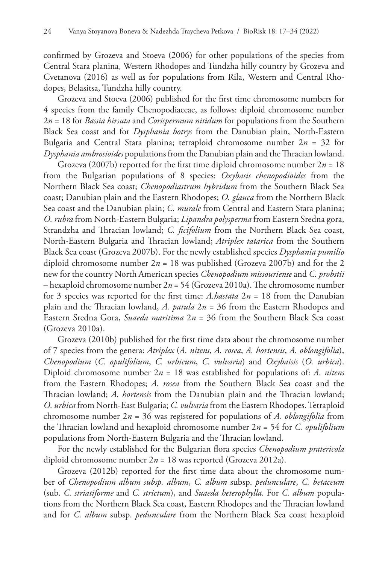confirmed by Grozeva and Stoeva (2006) for other populations of the species from Central Stara planina, Western Rhodopes and Tundzha hilly country by Grozeva and Cvetanova (2016) as well as for populations from Rila, Western and Central Rhodopes, Belasitsa, Tundzha hilly country.

Grozeva and Stoeva (2006) published for the first time chromosome numbers for 4 species from the family Chenopodiaceae, as follows: diploid chromosome number 2*n* = 18 for *Bassia hirsuta* and *Corispermum nitidum* for populations from the Southern Black Sea coast and for *Dysphania botrys* from the Danubian plain, North-Eastern Bulgaria and Central Stara planina; tetraploid chromosome number  $2n = 32$  for *Dysphania ambrosioides* populations from the Danubian plain and the Thracian lowland.

Grozeva (2007b) reported for the first time diploid chromosome number  $2n = 18$ from the Bulgarian populations of 8 species: *Oxybasis chenopodioides* from the Northern Black Sea coast; *Chenopodiastrum hybridum* from the Southern Black Sea coast; Danubian plain and the Eastern Rhodopes; *O. glauca* from the Northern Black Sea coast and the Danubian plain; *C. murale* from Central and Eastern Stara planina; *O. rubra* from North-Eastern Bulgaria; *Lipandra polysperma* from Eastern Sredna gora, Strandzha and Thracian lowland; *C. ficifolium* from the Northern Black Sea coast, North-Eastern Bulgaria and Thracian lowland; *Atriplex tatarica* from the Southern Black Sea coast (Grozeva 2007b). For the newly established species *Dysphania pumilio* diploid chromosome number  $2n = 18$  was published (Grozeva 2007b) and for the 2 new for the country North American species *Chenopodium missouriense* and *C. probstii* – hexaploid chromosome number 2*n* = 54 (Grozeva 2010a). The chromosome number for 3 species was reported for the first time: *A.hastata* 2*n* = 18 from the Danubian plain and the Thracian lowland, *A. patula* 2*n* = 36 from the Eastern Rhodopes and Eastern Sredna Gora, *Suaeda maritima* 2*n* = 36 from the Southern Black Sea coast (Grozeva 2010a).

Grozeva (2010b) published for the first time data about the chromosome number of 7 species from the genera: *Atriplex* (*A. nitens*, *A. rosea*, *A. hortensis*, *A. oblongifolia*), *Chenopodium* (*C. opulifolium*, *C. urbicum*, *C. vulvaria*) and *Oxybaisis* (*O. urbica*). Diploid chromosome number 2*n* = 18 was established for populations of: *A. nitens* from the Eastern Rhodopes; *A. rosea* from the Southern Black Sea coast and the Thracian lowland; *A. hortensis* from the Danubian plain and the Thracian lowland; *O. urbica* from North-East Bulgaria; *C. vulvaria* from the Eastern Rhodopes. Tetraploid chromosome number 2*n* = 36 was registered for populations of *A. oblongifolia* from the Thracian lowland and hexaploid chromosome number 2*n* = 54 for *C. opulifolium* populations from North-Eastern Bulgaria and the Thracian lowland.

For the newly established for the Bulgarian flora species *Chenopodium pratericola* diploid chromosome number 2*n* = 18 was reported (Grozeva 2012a).

Grozeva (2012b) reported for the first time data about the chromosome number of *Chenopodium album subsp. album*, *C. album* subsp. *pedunculare*, *C. betaceum* (sub. *C. striatiforme* and *C. strictum*), and *Suaeda heterophylla*. For *C. album* populations from the Northern Black Sea coast, Eastern Rhodopes and the Thracian lowland and for *C. album* subsp. *pedunculare* from the Northern Black Sea coast hexaploid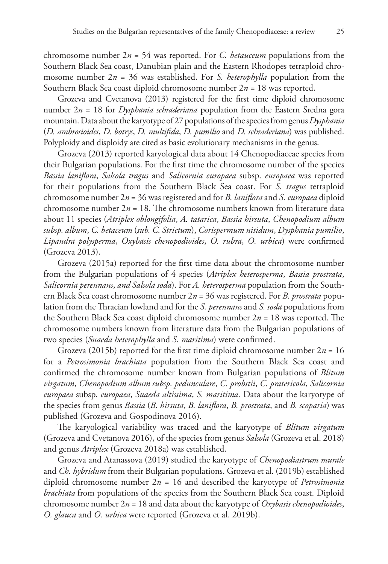chromosome number 2*n* = 54 was reported. For *C. betauceum* populations from the Southern Black Sea coast, Danubian plain and the Eastern Rhodopes tetraploid chromosome number 2*n* = 36 was established. For *S. heterophylla* population from the Southern Black Sea coast diploid chromosome number 2*n* = 18 was reported.

Grozeva and Cvetanova (2013) registered for the first time diploid chromosome number 2*n* = 18 for *Dysphania schraderiana* population from the Eastern Sredna gora mountain. Data about the karyotype of 27 populations of the species from genus *Dysphania* (*D. ambrosioides*, *D. botrys*, *D. multifida*, *D. pumilio* and *D. schraderiana*) was published. Polyploidy and disploidy are cited as basic evolutionary mechanisms in the genus.

Grozeva (2013) reported karyological data about 14 Chenopodiaceae species from their Bulgarian populations. For the first time the chromosome number of the species *Bassia laniflora*, *Salsola tragus* and *Salicornia europaea* subsp. *europaea* was reported for their populations from the Southern Black Sea coast. For *S. tragus* tetraploid chromosome number 2*n* = 36 was registered and for *B. laniflora* and *S. europaea* diploid chromosome number  $2n = 18$ . The chromosome numbers known from literature data about 11 species (*Atriplex oblongifolia*, *A. tatarica*, *Bassia hirsuta*, *Chenopodium album subsp. album*, *C. betaceum* (*sub. C. Strictum*), *Corispermum nitidum*, *Dysphania pumilio*, *Lipandra polysperma*, *Oxybasis chenopodioides*, *O. rubra*, *O. urbica*) were confirmed (Grozeva 2013).

Grozeva (2015a) reported for the first time data about the chromosome number from the Bulgarian populations of 4 species (*Atriplex heterosperma*, *Bassia prostrata*, *Salicornia perennans*, *and Salsola soda*). For *A. heterosperma* population from the Southern Black Sea coast chromosome number 2*n* = 36 was registered. For *B. prostrata* population from the Thracian lowland and for the *S. perennans* and *S. soda* populations from the Southern Black Sea coast diploid chromosome number 2*n* = 18 was reported. The chromosome numbers known from literature data from the Bulgarian populations of two species (*Suaeda heterophylla* and *S. maritima*) were confirmed.

Grozeva (2015b) reported for the first time diploid chromosome number 2*n* = 16 for a *Petrosimonia brachiata* population from the Southern Black Sea coast and confirmed the chromosome number known from Bulgarian populations of *Blitum virgatum*, *Chenopodium album subsp. pedunculare*, *C. probstii*, *C. pratericola*, *Salicornia europaea* subsp. *europaea*, *Suaeda altissima*, *S. maritima*. Data about the karyotype of the species from genus *Bassia* (*B. hirsuta*, *B. laniflora*, *B. prostrata*, and *B. scoparia*) was published (Grozeva and Gospodinova 2016).

The karyological variability was traced and the karyotype of *Blitum virgatum* (Grozeva and Cvetanova 2016), of the species from genus *Salsola* (Grozeva et al. 2018) and genus *Atriplex* (Grozeva 2018a) was established.

Grozeva and Atanassova (2019) studied the karyotype of *Chenopodiastrum murale* and *Ch. hybridum* from their Bulgarian populations. Grozeva et al. (2019b) established diploid chromosome number 2*n* = 16 and described the karyotype of *Petrosimonia brachiatа* from populations of the species from the Southern Black Sea coast. Diploid chromosome number 2*n* = 18 and data about the karyotype of *Oxybasis chenopodioides*, *O. glauca* and *O. urbica* were reported (Grozeva et al. 2019b).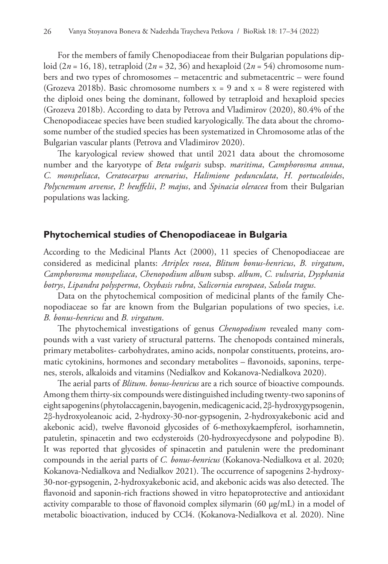For the members of family Chenopodiaceae from their Bulgarian populations diploid ( $2n = 16$ , 18), tetraploid ( $2n = 32, 36$ ) and hexaploid ( $2n = 54$ ) chromosome numbers and two types of chromosomes – metacentric and submetacentric – were found (Grozeva 2018b). Basic chromosome numbers  $x = 9$  and  $x = 8$  were registered with the diploid ones being the dominant, followed by tetraploid and hexaploid species (Grozeva 2018b). According to data by Petrova and Vladimirov (2020), 80.4% of the Chenopodiaceae species have been studied karyologically. The data about the chromosome number of the studied species has been systematized in Chromosome atlas of the Bulgarian vascular plants (Petrova and Vladimirov 2020).

The karyological review showed that until 2021 data about the chromosome number and the karyotype of *Beta vulgaris* subsp. *maritima*, *Camphorosma annua*, *C. monspeliaca*, *Ceratocarpus arenarius*, *Halimione pedunculata*, *H. portucaloides*, *Polycnemum arvense*, *P. heuffelii*, *P. majus*, and *Spinacia oleracea* from their Bulgarian populations was lacking.

#### **Phytochemical studies of Chenopodiaceae in Bulgaria**

According to the Medicinal Plants Act (2000), 11 species of Chenopodiaceae are considered as medicinal plants: *Atriplex rosea*, *Blitum bonus-henricus*, *B. virgatum*, *Camphorosma monspeliaca*, *Chenopodium album* subsp. *album*, *C. vulvaria*, *Dysphania botrys*, *Lipandra polysperma*, *Oxybasis rubra*, *Salicornia europaea*, *Salsola tragus*.

Data on the phytochemical composition of medicinal plants of the family Chenopodiaceae so far are known from the Bulgarian populations of two species, i.e. *B. bonus-henricus* and *B. virgatum*.

The phytochemical investigations of genus *Chenopodium* revealed many compounds with a vast variety of structural patterns. The chenopods contained minerals, primary metabolites- carbohydrates, amino acids, nonpolar constituents, proteins, aromatic cytokinins, hormones and secondary metabolites – flavonoids, saponins, terpenes, sterols, alkaloids and vitamins (Nedialkov and Kokanova-Nedialkova 2020).

The aerial parts of *Blitum*. *bonus-henricus* are a rich source of bioactive compounds. Among them thirty-six compounds were distinguished including twenty-two saponins of eight sapogenins (phytolaccagenin, bayogenin, medicagenic acid, 2β-hydroxygypsogenin, 2β-hydroxyoleanoic acid, 2-hydroxy-30-nor-gypsogenin, 2-hydroxyakebonic acid and akebonic acid), twelve flavonoid glycosides of 6-methoxykaempferol, isorhamnetin, patuletin, spinacetin and two ecdysteroids (20-hydroxyecdysone and polypodine B). It was reported that glycosides of spinacetin and patulenin were the predominant compounds in the aerial parts of *C. bonus-henricus* (Kokanova-Nedialkova et al. 2020; Kokanova-Nedialkova and Nedialkov 2021). The occurrence of sapogenins 2-hydroxy-30-nor-gypsogenin, 2-hydroxyakebonic acid, and akebonic acids was also detected. The flavonoid and saponin-rich fractions showed in vitro hepatoprotective and antioxidant activity comparable to those of flavonoid complex silymarin (60 μg/mL) in a model of metabolic bioactivation, induced by CCl4. (Kokanova-Nedialkova et al. 2020). Nine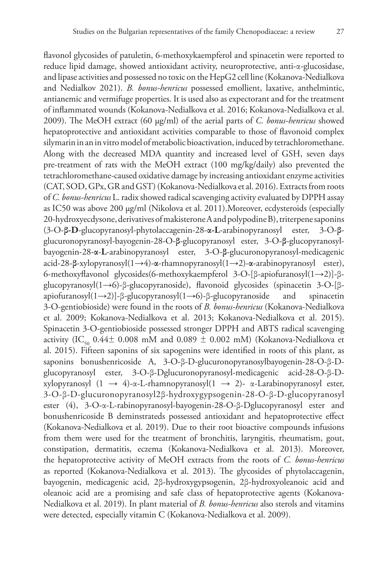flavonol glycosides of patuletin, 6-methoxykaempferol and spinacetin were reported to reduce lipid damage, showed antioxidant activity, neuroprotective, anti-α-glucosidase, and lipase activities and possessed no toxic on the HepG2 cell line (Kokanova-Nedialkova and Nedialkov 2021). *B. bonus-henricus* possessed emollient, laxative, anthelmintic, antianemic and vermifuge properties. It is used also as expectorant and for the treatment of inflammated wounds (Kokanova-Nedialkova et al. 2016; Kokanova-Nedialkova et al. 2009). The MeOH extract (60 µg/ml) of the aerial parts of *C. bonus-henricus* showed hepatoprotective and antioxidant activities comparable to those of flavonoid complex silymarin in an in vitro model of metabolic bioactivation, induced by tetrachloromethane. Along with the decreased MDA quantity and increased level of GSH, seven days pre-treatment of rats with the MeOH extract (100 mg/kg/daily) also prevented the tetrachloromethane-caused oxidative damage by increasing antioxidant enzyme activities (CAT, SOD, GPx, GR and GST) (Kokanova-Nedialkova et al. 2016). Extracts from roots of *C. bonus-henricus* L. radix showed radical scavenging activity evaluated by DPPH assay as IC50 was above 200 µg/ml (Nikolova et al. 2011).Moreover, ecdysteroids (especially 20-hydroxyecdysone, derivatives of makisterone A and polypodine B), triterpene saponins (3-O-**β-D**-glucopyranosyl-phytolaccagenin-28-**α-L**-arabinopyranosyl ester, 3-O-**β**glucuronopyranosyl-bayogenin-28-O-**β**-glucopyranosyl ester, 3-O-**β**-glucopyranosylbayogenin-28-**α**-**L**-arabinopyranosyl ester, 3-O-**β**-glucuronopyranosyl-medicagenic acid-28-**β**-xylopyranosyl(1→4)-**α**-rhamnopyranosyl(1→2)-**α**-arabinopyranosyl ester), 6-methoxyflavonol glycosides(6-methoxykaempferol 3-O-[β-apiofuranosyl(1→2)]-βglucopyranosyl(1→6)-β-glucopyranoside), flavonoid glycosides (spinacetin 3-O-[βapiofuranosyl(1→2)]-β-glucopyranosyl(1→6)-β-glucopyranoside and spinacetin 3-O-gentiobioside) were found in the roots of *B. bonus-henricus* (Kokanova-Nedialkova et al. 2009; Kokanova-Nedialkova et al. 2013; Kokanova-Nedialkova et al. 2015). Spinacetin 3-O-gentiobioside possessed stronger DPPH and ABTS radical scavenging activity (IC<sub>50</sub> 0.44± 0.008 mM and 0.089 ± 0.002 mM) (Kokanova-Nedialkova et al. 2015). Fifteen saponins of six sapogenins were identified in roots of this plant, as saponins bonushenricoside A, 3-O-β-D-glucuronopyranosylbayogenin-28-O-β-Dglucopyranosyl ester, 3-O-β-Dglucuronopyranosyl-medicagenic acid-28-O-β-Dxylopyranosyl (1 → 4)-α-L-rhamnopyranosyl(1 → 2)- α-Larabinopyranosyl ester, 3-O-β-D-glucuronopyranosyl2β-hydroxygypsogenin-28-O-β-D-glucopyranosyl ester (4), 3-O-α-L-rabinopyranosyl-bayogenin-28-O-β-Dglucopyranosyl ester and bonushenricoside B deminstrateds possessed antioxidant and hepatoprotective effect (Kokanova-Nedialkova et al. 2019). Due to their root bioactive compounds infusions from them were used for the treatment of bronchitis, laryngitis, rheumatism, gout, constipation, dermatitis, eczema (Kokanova-Nedialkova et al. 2013). Moreover, the hepatoprotective activity of MeOH extracts from the roots of *C. bonus-henricus* as reported (Kokanova-Nedialkova et al. 2013). The glycosides of phytolaccagenin, bayogenin, medicagenic acid, 2β-hydroxygypsogenin, 2β-hydroxyoleanoic acid and oleanoic acid are a promising and safe class of hepatoprotective agents (Kokanova-Nedialkova et al. 2019). In plant material of *B. bonus-henricus* also sterols and vitamins were detected, especially vitamin C (Kokanova-Nedialkova et al. 2009).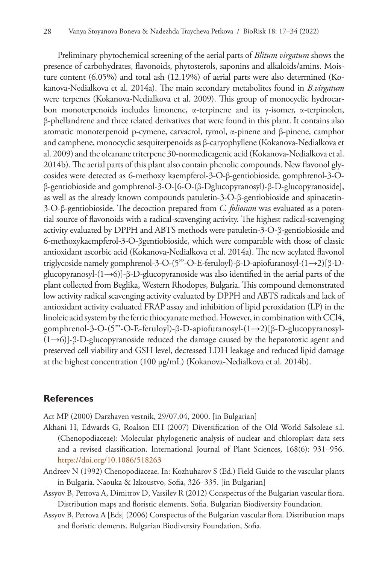Preliminary phytochemical screening of the aerial parts of *Blitum virgatum* shows the presence of carbohydrates, flavonoids, phytosterols, saponins and alkaloids/amins. Moisture content (6.05%) and total ash (12.19%) of aerial parts were also determined (Kokanova-Nedialkova et al. 2014a). The main secondary metabolites found in *B.virgatum* were terpenes (Kokanova-Nedialkova et al. 2009). This group of monocyclic hydrocarbon monoterpenoids includes limonene, α-terpinene and its γ-isomer, α-terpinоlen, β-phellandrene and three related derivatives that were found in this plant. It contains also aromatic monoterpenoid p-cymene, carvacrol, tymol, α-pinene and β-pinene, camphor and camphene, monocyclic sesquiterpenoids as β-caryophyllene (Kokanova-Nedialkova et al. 2009) and the oleanane triterpene 30-normedicagenic acid (Kokanova-Nedialkova et al. 2014b). The aerial parts of this plant also contain phenolic compounds. New flavonol glycosides were detected as 6-methoxy kaempferol-3-O-β-gentiobioside, gomphrenol-3-Oβ-gentiobioside and gomphrenol-3-O-[6-O-(β-Dglucopyranosyl)-β-D-glucopyranoside], as well as the already known compounds patuletin-3-O-β-gentiobioside and spinacetin-3-O-β-gentiobioside. The decoction prepared from *C. foliosum* was evaluated as a potential source of flavonoids with a radical-scavenging activity. The highest radical-scavenging activity evaluated by DPPH and ABTS methods were patuletin-3-O-β-gentiobioside and 6-methoxykaempferol-3-O-βgentiobioside, which were comparable with those of classic antioxidant ascorbic acid (Kokanova-Nedialkova et al. 2014a). The new acylated flavonol triglycoside namely gomphrenol-3-O-(5'''-O-E-feruloyl)-β-D-apiofuranosyl-(1→2)[β-Dglucopyranosyl-(1→6)]-β-D-glucopyranoside was also identified in the aerial parts of the plant collected from Beglika, Western Rhodopes, Bulgaria. This compound demonstrated low activity radical scavenging activity evaluated by DPPH and ABTS radicals and lack of antioxidant activity evaluated FRAP assay and inhibition of lipid peroxidation (LP) in the linoleic acid system by the ferric thiocyanate method. However, in combination with CCl4, gomphrenol-3-O-(5'''-O-E-feruloyl)-β-D-apiofuranosyl-(1→2)[β-D-glucopyranosyl-  $(1\rightarrow 6)$ ]-β-D-glucopyranoside reduced the damage caused by the hepatotoxic agent and preserved cell viability and GSH level, decreased LDH leakage and reduced lipid damage at the highest concentration (100 µg/mL) (Kokanova-Nedialkova et al. 2014b).

## **References**

Act MP (2000) Darzhaven vestnik, 29/07.04, 2000. [in Bulgarian]

- Akhani H, Edwards G, Roalson EH (2007) Diversification of the Old World Salsoleae s.l. (Chenopodiaceae): Molecular phylogenetic analysis of nuclear and chloroplast data sets and a revised classification. International Journal of Plant Sciences, 168(6): 931–956. <https://doi.org/10.1086/518263>
- Andreev N (1992) Chenopodiaceae. In: Kozhuharov S (Ed.) Field Guide to the vascular plants in Bulgaria. Naouka & Izkoustvo, Sofia, 326–335. [in Bulgarian]
- Assyov B, Petrova A, Dimitrov D, Vassilev R (2012) Conspectus of the Bulgarian vascular flora. Distribution maps and floristic elements. Sofia. Bulgarian Biodiversity Foundation.
- Assyov B, Petrova A [Eds] (2006) Conspectus of the Bulgarian vascular flora. Distribution maps and floristic elements. Bulgarian Biodiversity Foundation, Sofia.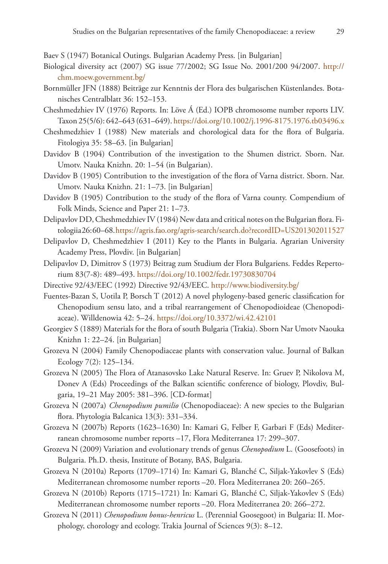Baev S (1947) Botanical Outings. Bulgarian Academy Press. [in Bulgarian]

- Biological diversity act (2007) SG issue 77/2002; SG Issue No. 2001/200 94/2007. [http://](http://chm.moew.government.bg/) [chm.moew.government.bg/](http://chm.moew.government.bg/)
- Bornmüller JFN (1888) Beiträge zur Kenntnis der Flora des bulgarischen Küstenlandes. Botanisches Centralblatt 36: 152–153.
- Cheshmedzhiev IV (1976) Reports. In: Löve Á (Ed.) IOPB chromosome number reports LIV. Taxon 25(5/6): 642–643 (631–649).<https://doi.org/10.1002/j.1996-8175.1976.tb03496.x>
- Cheshmedzhiev I (1988) New materials and chorological data for the flora of Bulgaria. Fitologiya 35: 58–63. [in Bulgarian]
- Davidov B (1904) Contribution of the investigation to the Shumen district. Sborn. Nar. Umotv. Nauka Knizhn. 20: 1–54 (in Bulgarian).
- Davidov B (1905) Contribution to the investigation of the flora of Varna district. Sborn. Nar. Umotv. Nauka Knizhn. 21: 1–73. [in Bulgarian]
- Davidov B (1905) Contribution to the study of the flora of Varna county. Compendium of Folk Minds, Science and Paper 21: 1–73.
- Delipavlov DD, Cheshmedzhiev IV (1984) New data and critical notes on the Bulgarian flora. Fitologiia 26: 60–68.<https://agris.fao.org/agris-search/search.do?recordID=US201302011527>
- Delipavlov D, Cheshmedzhiev I (2011) Key to the Plants in Bulgaria. Agrarian University Academy Press, Plovdiv. [in Bulgarian]
- Delipavlov D, Dimitrov S (1973) Beitrag zum Studium der Flora Bulgariens. Feddes Repertorium 83(7‐8): 489–493.<https://doi.org/10.1002/fedr.19730830704>
- Directive 92/43/EEC (1992) Directive 92/43/EEC. <http://www.biodiversity.bg/>
- Fuentes-Bazan S, Uotila P, Borsch T (2012) A novel phylogeny-based generic classification for Chenopodium sensu lato, and a tribal rearrangement of Chenopodioideae (Chenopodiaceae). Willdenowia 42: 5–24.<https://doi.org/10.3372/wi.42.42101>
- Georgiev S (1889) Materials for the flora of south Bulgaria (Trakia). Sborn Nar Umotv Naouka Knizhn 1: 22–24. [in Bulgarian]
- Grozeva N (2004) Family Chenopodiaceae plants with conservation value. Journal of Balkan Ecology 7(2): 125–134.
- Grozeva N (2005) The Flora of Atanasovsko Lake Natural Reserve. In: Gruev P, Nikolova M, Donev A (Eds) Proceedings of the Balkan scientific conference of biology, Plovdiv, Bulgaria, 19–21 May 2005: 381–396. [CD-format]
- Grozeva N (2007a) *Chenopodium pumilio* (Chenopodiaceae): A new species to the Bulgarian flora. Phytologia Balcanica 13(3): 331–334.
- Grozeva N (2007b) Reports (1623–1630) In: Kamari G, Felber F, Garbari F (Eds) Mediterranean chromosome number reports –17, Flora Mediterranea 17: 299–307.
- Grozeva N (2009) Variation and evolutionary trends of genus *Chenopodium* L. (Goosefoots) in Bulgaria. Ph.D. thesis, Institute of Botany, BAS, Bulgaria.
- Grozeva N (2010a) Reports (1709–1714) In: Kamari G, Blanché C, Siljak-Yakovlev S (Eds) Mediterranean chromosome number reports –20. Flora Mediterranea 20: 260–265.
- Grozeva N (2010b) Reports (1715–1721) In: Kamari G, Blanché C, Siljak-Yakovlev S (Eds) Mediterranean chromosome number reports –20. Flora Mediterranea 20: 266–272.
- Grozeva N (2011) *Chenopodium bonus-henricus* L. (Perennial Goosegoot) in Bulgaria: II. Morphology, chorology and ecology. Trakia Journal of Sciences 9(3): 8–12.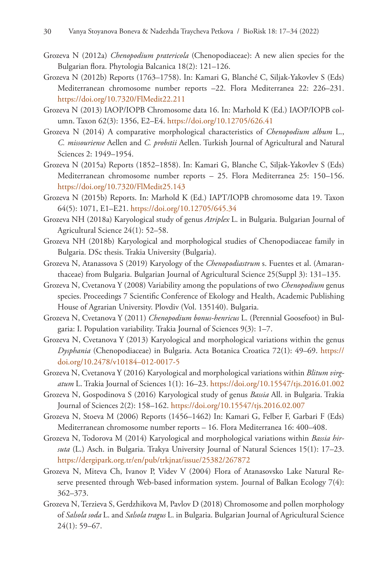- Grozeva N (2012a) *Chenopodium pratericola* (Chenopodiaceae): A new alien species for the Bulgarian flora. Phytologia Balcanica 18(2): 121–126.
- Grozeva N (2012b) Reports (1763–1758). In: Kamari G, Blanché C, Siljak-Yakovlev S (Eds) Mediterranean chromosome number reports –22. Flora Mediterranea 22: 226–231. <https://doi.org/10.7320/FlMedit22.211>
- Grozeva N (2013) IAOP/IOPB Chromosome data 16. In: Marhold K (Ed.) IAOP/IOPB column. Taxon 62(3): 1356, E2–E4. <https://doi.org/10.12705/626.41>
- Grozeva N (2014) A comparative morphological characteristics of *Chenopodium album* L., *C. missouriense* Aellen and *C. probstii* Aellen. Turkish Journal of Agricultural and Natural Sciences 2: 1949–1954.
- Grozeva N (2015a) Reports (1852–1858). In: Kamari G, Blanche C, Siljak-Yakovlev S (Eds) Mediterranean chromosome number reports – 25. Flora Mediterranea 25: 150–156. <https://doi.org/10.7320/FlMedit25.143>
- Grozeva N (2015b) Reports. In: Marhold K (Ed.) IAPT/IOPB chromosome data 19. Taxon 64(5): 1071, E1–E21. <https://doi.org/10.12705/645.34>
- Grozeva NH (2018a) Karyological study of genus *Atriplex* L. in Bulgaria. Bulgarian Journal of Agricultural Science 24(1): 52–58.
- Grozeva NH (2018b) Karyological and morphological studies of Chenopodiaceae family in Bulgaria. DSc thesis. Trakia University (Bulgaria).
- Grozeva N, Atanassova S (2019) Karyology of the *Chenopodiastrum* s. Fuentes et al. (Amaranthaceae) from Bulgaria. Bulgarian Journal of Agricultural Science 25(Suppl 3): 131–135.
- Grozeva N, Cvetanova Y (2008) Variability among the populations of two *Chenopodium* genus species. Proceedings 7 Scientific Conference of Ekology and Health, Academic Publishing House of Agrarian University. Plovdiv (Vol. 135140). Bulgaria.
- Grozeva N, Cvetanova Y (2011) *Chenopodium bonus-henricus* L. (Perennial Goosefoot) in Bulgaria: I. Population variability. Trakia Journal of Sciences 9(3): 1–7.
- Grozeva N, Cvetanova Y (2013) Karyological and morphological variations within the genus *Dysphania* (Chenopodiaceae) in Bulgaria. Acta Botanica Croatica 72(1): 49–69. [https://](https://doi.org/10.2478/v10184%E2%80%93012-0017-5) [doi.org/10.2478/v10184–012-0017-5](https://doi.org/10.2478/v10184%E2%80%93012-0017-5)
- Grozeva N, Cvetanova Y (2016) Karyological and morphological variations within *Blitum virgatum* L. Trakia Journal of Sciences 1(1): 16–23. <https://doi.org/10.15547/tjs.2016.01.002>
- Grozeva N, Gospodinova S (2016) Karyological study of genus *Bassia* All. in Bulgaria. Trakia Journal of Sciences 2(2): 158–162.<https://doi.org/10.15547/tjs.2016.02.007>
- Grozeva N, Stoeva M (2006) Reports (1456–1462) In: Kamari G, Felber F, Garbari F (Eds) Mediterranean chromosome number reports – 16. Flora Mediterranea 16: 400–408.
- Grozeva N, Todorova M (2014) Karyological and morphological variations within *Bassia hirsuta* (L.) Asch. in Bulgaria. Trakya University Journal of Natural Sciences 15(1): 17–23. <https://dergipark.org.tr/en/pub/trkjnat/issue/25382/267872>
- Grozeva N, Miteva Ch, Ivanov P, Videv V (2004) Flora of Atanasovsko Lake Natural Reserve presented through Web-based information system. Journal of Balkan Ecology 7(4): 362–373.
- Grozeva N, Terzieva S, Gerdzhikova M, Pavlov D (2018) Chromosome and pollen morphology of *Salsola soda* L. and *Salsola tragus* L. in Bulgaria. Bulgarian Journal of Agricultural Science 24(1): 59–67.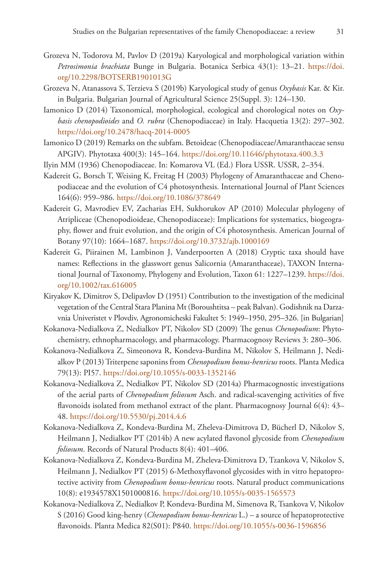- Grozeva N, Todorova M, Pavlov D (2019a) Karyological and morphological variation within *Petrosimonia brachiata* Bunge in Bulgaria. Botanica Serbica 43(1): 13–21. [https://doi.](https://doi.org/10.2298/BOTSERB1901013G) [org/10.2298/BOTSERB1901013G](https://doi.org/10.2298/BOTSERB1901013G)
- Grozeva N, Atanassova S, Terzieva S (2019b) Karyological study of genus *Oxybasis* Kar. & Kir. in Bulgaria. Bulgarian Journal of Agricultural Science 25(Suppl. 3): 124–130.
- Iamonico D (2014) Taxonomical, morphological, ecological and chorological notes on *Oxybasis chenopodioides* and *O. rubra* (Chenopodiaceae) in Italy. Hacquetia 13(2): 297–302. <https://doi.org/10.2478/hacq-2014-0005>
- Iamonico D (2019) Remarks on the subfam. Betoideae (Chenopodiaceae/Amaranthaceae sensu APGIV). Phytotaxa 400(3): 145–164.<https://doi.org/10.11646/phytotaxa.400.3.3>
- Ilyin MM (1936) Chenopodiaceae. In: Komarova VL (Ed.) Flora USSR. USSR, 2–354.
- Kadereit G, Borsch T, Weising K, Freitag H (2003) Phylogeny of Amaranthaceae and Chenopodiaceae and the evolution of C4 photosynthesis. International Journal of Plant Sciences 164(6): 959–986. <https://doi.org/10.1086/378649>
- Kadereit G, Mavrodiev EV, Zacharias EH, Sukhorukov AP (2010) Molecular phylogeny of Atripliceae (Chenopodioideae, Chenopodiaceae): Implications for systematics, biogeography, flower and fruit evolution, and the origin of C4 photosynthesis. American Journal of Botany 97(10): 1664–1687. <https://doi.org/10.3732/ajb.1000169>
- Kadereit G, Piirainen M, Lambinon J, Vanderpoorten A (2018) Cryptic taxa should have names: Reflections in the glasswort genus Salicornia (Amaranthaceae), TAXON International Journal of Taxonomy, Phylogeny and Evolution, Taxon 61: 1227–1239. [https://doi.](https://doi.org/10.1002/tax.616005) [org/10.1002/tax.616005](https://doi.org/10.1002/tax.616005)
- Kiryakov K, Dimitrov S, Delipavlov D (1951) Contribution to the investigation of the medicinal vegetation of the Central Stara Planina Mt (Boroushtitsa – peak Balvan). Godishnik na Darzavnia Univeristet v Plovdiv, Agronomicheski Fakultet 5: 1949–1950, 295–326. [in Bulgarian]
- Kokanova-Nedialkova Z, Nedialkov PT, Nikolov SD (2009) The genus *Chenopodium*: Phytochemistry, ethnopharmacology, and pharmacology. Pharmacognosy Reviews 3: 280–306.
- Kokanova-Nedialkova Z, Simeonova R, Kondeva-Burdina M, Nikolov S, Heilmann J, Nedialkov P (2013) Triterpene saponins from *Chenopodium bonus-henricus* roots. Planta Medica 79(13): PI57. <https://doi.org/10.1055/s-0033-1352146>
- Kokanova-Nedialkova Z, Nedialkov PT, Nikolov SD (2014a) Pharmacognostic investigations of the aerial parts of *Chenopodium foliosum* Asch. and radical-scavenging activities of five flavonoids isolated from methanol extract of the plant. Pharmacognosy Journal 6(4): 43– 48.<https://doi.org/10.5530/pj.2014.4.6>
- Kokanova-Nedialkova Z, Kondeva-Burdina M, Zheleva-Dimitrova D, Bücherl D, Nikolov S, Heilmann J, Nedialkov PT (2014b) A new acylated flavonol glycoside from *Chenopodium foliosum*. Records of Natural Products 8(4): 401–406.
- Kokanova-Nedialkova Z, Kondeva-Burdina M, Zheleva-Dimitrova D, Tzankova V, Nikolov S, Heilmann J, Nedialkov PT (2015) 6-Methoxyflavonol glycosides with in vitro hepatoprotective activity from *Chenopodium bonus-henricus* roots. Natural product communications 10(8): e1934578X1501000816. <https://doi.org/10.1055/s-0035-1565573>
- Kokanova-Nedialkova Z, Nedialkov P, Kondeva-Burdina M, Simenova R, Tsankova V, Nikolov S (2016) Good king-henry (*Chenopodium bonus-henricus* L.) – a source of hepatoprotective flavonoids. Planta Medica 82(S01): P840.<https://doi.org/10.1055/s-0036-1596856>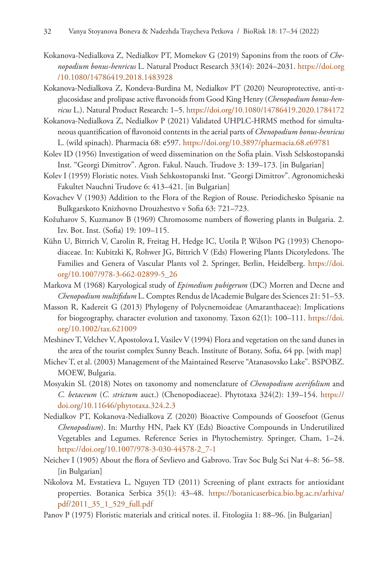- Kokanova-Nedialkova Z, Nedialkov PT, Momekov G (2019) Saponins from the roots of *Chenopodium bonus-henricus* L. Natural Product Research 33(14): 2024–2031. [https://doi.org](https://doi.org/10.1080/14786419.2018.1483928) [/10.1080/14786419.2018.1483928](https://doi.org/10.1080/14786419.2018.1483928)
- Kokanova-Nedialkova Z, Kondeva-Burdina M, Nedialkov PT (2020) Neuroprotective, anti-αglucosidase and prolipase active flavonoids from Good King Henry (*Chenopodium bonus-henricus* L.). Natural Product Research: 1–5. <https://doi.org/10.1080/14786419.2020.1784172>
- Kokanova-Nedialkova Z, Nedialkov P (2021) Validated UHPLC-HRMS method for simultaneous quantification of flavonoid contents in the aerial parts of *Chenopodium bonus-henricus* L. (wild spinach). Pharmacia 68: е597. <https://doi.org/10.3897/pharmacia.68.e69781>
- Kolev ID (1956) Investigation of weed dissemination on the Sofia plain. Vissh Selskostopanski Inst. "Georgi Dimitrov". Agron. Fakul. Nauch. Trudove 3: 139–173. [in Bulgarian]
- Kolev I (1959) Floristic notes. Vissh Selskostopanski Inst. "Georgi Dimitrov". Agronomicheski Fakultet Nauchni Trudove 6: 413–421. [in Bulgarian]
- Kovachev V (1903) Addition to the Flora of the Region of Rouse. Periodichesko Spisanie na Bulkgarskoto Knizhovno Drouzhestvo v Sofia 63: 721–723.
- Kožuharov S, Kuzmanov B (1969) Chromosome numbers of flowering plants in Bulgaria. 2. Izv. Bot. Inst. (Sofia) 19: 109–115.
- Kühn U, Bittrich V, Carolin R, Freitag H, Hedge IC, Uotila P, Wilson PG (1993) Chenopodiaceae. In: Kubitzki K, Rohwer JG, Bittrich V (Eds) Flowering Plants Dicotyledons. The Families and Genera of Vascular Plants vol 2. Springer, Berlin, Heidelberg. [https://doi.](https://doi.org/10.1007/978-3-662-02899-5_26) [org/10.1007/978-3-662-02899-5\\_26](https://doi.org/10.1007/978-3-662-02899-5_26)
- Markova M (1968) Karyological study of *Epimedium pubigerum* (DC) Morren and Decne and *Chenopodium multifidum* L. Comptes Rendus delAcademie Bulgare des Sciences 21: 51–53.
- Masson R, Kadereit G (2013) Phylogeny of Polycnemoideae (Amaranthaceae): Implications for biogeography, character evolution and taxonomy. Taxon 62(1): 100-111. [https://doi.](https://doi.org/10.1002/tax.621009) [org/10.1002/tax.621009](https://doi.org/10.1002/tax.621009)
- MeshinevT, Velchev V, Apostolova I, Vasilev V (1994) Flora and vegetation on the sand dunes in the area of the tourist complex Sunny Beach. Institute of Botany, Sofia, 64 pp. [with map]
- Michev T, et al. (2003) Management of the Maintained Reserve "Atanasovsko Lake". BSPOBZ. MOEW, Bulgaria.
- Mosyakin SL (2018) Notes on taxonomy and nomenclature of *Chenopodium acerifolium* and *C. betaceum* (*C. strictum* auct.) (Chenopodiaceae). Phytotaxa 324(2): 139–154. [https://](https://doi.org/10.11646/phytotaxa.324.2.3) [doi.org/10.11646/phytotaxa.324.2.3](https://doi.org/10.11646/phytotaxa.324.2.3)
- Nedialkov PT, Kokanova-Nedialkova Z (2020) Bioactive Compounds of Goosefoot (Genus *Chenopodium*). In: Murthy HN, Paek KY (Eds) Bioactive Compounds in Underutilized Vegetables and Legumes. Reference Series in Phytochemistry. Springer, Cham, 1–24. [https://doi.org/10.1007/978-3-030-44578-2\\_7-1](https://doi.org/10.1007/978-3-030-44578-2_7-1)
- Neichev I (1905) About the flora of Sevlievo and Gabrovo. Trav Soc Bulg Sci Nat 4–8: 56–58. [in Bulgarian]
- Nikolova M, Evstatieva L, Nguyen TD (2011) Screening of plant extracts for antioxidant properties. Botanica Serbica 35(1): 43–48. [https://botanicaserbica.bio.bg.ac.rs/arhiva/](https://botanicaserbica.bio.bg.ac.rs/arhiva/pdf/2011_35_1_529_full.pdf) [pdf/2011\\_35\\_1\\_529\\_full.pdf](https://botanicaserbica.bio.bg.ac.rs/arhiva/pdf/2011_35_1_529_full.pdf)
- Panov P (1975) Floristic materials and critical notes. iI. Fitologiia 1: 88–96. [in Bulgarian]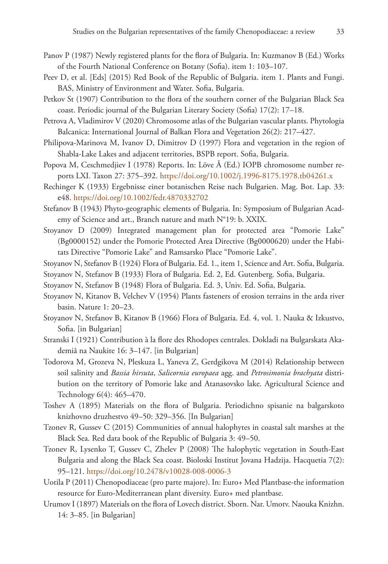- Panov P (1987) Newly registered plants for the flora of Bulgaria. In: Kuzmanov B (Ed.) Works of the Fourth National Conference on Botany (Sofia). item 1: 103–107.
- Peev D, et al. [Eds] (2015) Red Book of the Republic of Bulgaria. item 1. Plants and Fungi. BAS, Ministry of Environment and Water. Sofia, Bulgaria.
- Petkov St (1907) Contribution to the flora of the southern corner of the Bulgarian Black Sea coast. Periodic journal of the Bulgarian Literary Society (Sofia) 17(2): 17–18.
- Petrova A, Vladimirov V (2020) Chromosome atlas of the Bulgarian vascular plants. Phytologia Balcanica: International Journal of Balkan Flora and Vegetation 26(2): 217–427.
- Philipova-Marinova M, Ivanov D, Dimitrov D (1997) Flora and vegetation in the region of Shabla-Lake Lakes and adjacent territories, BSPB report. Sofia, Bulgaria.
- Popova M, Ceschmedjiev I (1978) Reports. In: Löve Å (Ed.) IOPB chromosome number reports LXI. Taxon 27: 375–392. <https://doi.org/10.1002/j.1996-8175.1978.tb04261.x>
- Rechinger K (1933) Ergebnisse einer botanischen Reise nach Bulgarien. Mag. Bot. Lap. 33: е48. <https://doi.org/10.1002/fedr.4870332702>
- Stefanov B (1943) Phyto-geographic elements of Bulgaria. In: Symposium of Bulgarian Academy of Science and art., Branch nature and math N°19: b. XXIX.
- Stoyanov D (2009) Integrated management plan for protected area "Pomorie Lake" (Bg0000152) under the Pomorie Protected Area Directive (Bg0000620) under the Habitats Directive "Pomorie Lake" and Ramsarsko Place "Pomorie Lake".
- Stoyanov N, Stefanov B (1924) Flora of Bulgaria. Ed. 1., item 1, Science and Art. Sofia, Bulgaria.
- Stoyanov N, Stefanov B (1933) Flora of Bulgaria. Ed. 2, Ed. Gutenberg. Sofia, Bulgaria.
- Stoyanov N, Stefanov B (1948) Flora of Bulgaria. Ed. 3, Univ. Ed. Sofia, Bulgaria.
- Stoyanov N, Kitanov B, Velchev V (1954) Plants fasteners of erosion terrains in the arda river basin. Nature 1: 20–23.
- Stoyanov N, Stefanov B, Kitanov B (1966) Flora of Bulgaria. Ed. 4, vol. 1. Nauka & Izkustvo, Sofia. [in Bulgarian]
- Stranski I (1921) Contribution à la flore des Rhodopes centrales. Dokladi na Bulgarskata Akademiâ na Naukite 16: 3–147. [in Bulgarian]
- Todorova M, Grozeva N, Pleskuza L, Yaneva Z, Gerdgikova M (2014) Relationship between soil salinity and *Bassia hirsuta*, *Salicornia europaea* agg. and *Petrosimonia brachyata* distribution on the territory of Pomorie lake and Atanasovsko lake. Agricultural Science and Technology 6(4): 465–470.
- Toshev A (1895) Materials on the flora of Bulgaria. Periodichno spisanie na balgarskoto knizhovno druzhestvo 49–50: 329–356. [In Bulgarian]
- Tzonev R, Gussev C (2015) Communities of annual halophytes in coastal salt marshes at the Black Sea. Red data book of the Republic of Bulgaria 3: 49–50.
- Tzonev R, Lysenko T, Gussev C, Zhelev P (2008) The halophytic vegetation in South-East Bulgaria and along the Black Sea coast. Bioloski Institut Jovana Hadzija. Hacquetia 7(2): 95–121.<https://doi.org/10.2478/v10028-008-0006-3>
- Uotila P (2011) Chenopodiaceae (pro parte majore). In: Euro+ Med Plantbase-the information resource for Euro-Mediterranean plant diversity. Euro+ med plantbase.
- Urumov I (1897) Materials on the flora of Lovech district. Sborn. Nar. Umotv. Naouka Knizhn. 14: 3–85. [in Bulgarian]